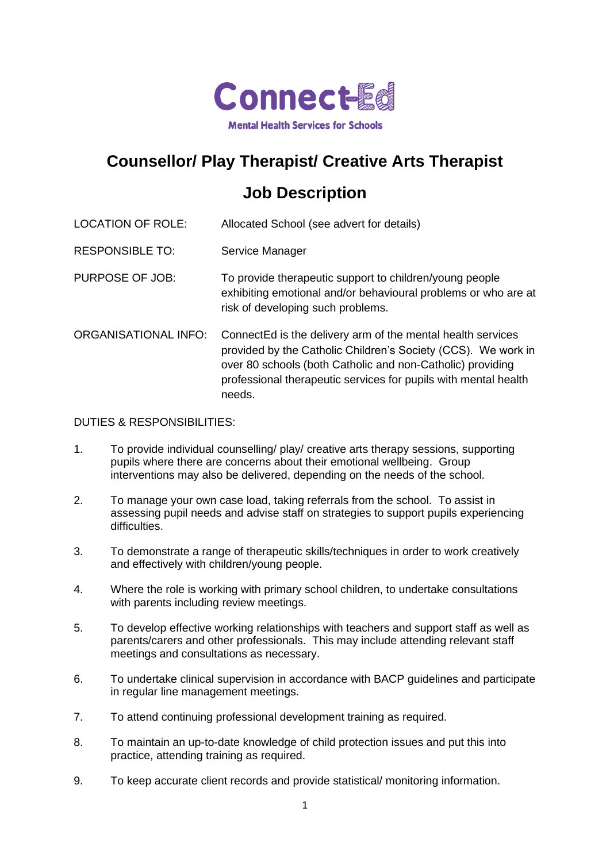

## **Counsellor/ Play Therapist/ Creative Arts Therapist**

## **Job Description**

| <b>LOCATION OF ROLE:</b>    | Allocated School (see advert for details)                                                                                                                                                                                                                              |
|-----------------------------|------------------------------------------------------------------------------------------------------------------------------------------------------------------------------------------------------------------------------------------------------------------------|
| <b>RESPONSIBLE TO:</b>      | Service Manager                                                                                                                                                                                                                                                        |
| <b>PURPOSE OF JOB:</b>      | To provide therapeutic support to children/young people<br>exhibiting emotional and/or behavioural problems or who are at<br>risk of developing such problems.                                                                                                         |
| <b>ORGANISATIONAL INFO:</b> | ConnectEd is the delivery arm of the mental health services<br>provided by the Catholic Children's Society (CCS). We work in<br>over 80 schools (both Catholic and non-Catholic) providing<br>professional therapeutic services for pupils with mental health<br>needs |

## DUTIES & RESPONSIBILITIES:

- 1. To provide individual counselling/ play/ creative arts therapy sessions, supporting pupils where there are concerns about their emotional wellbeing. Group interventions may also be delivered, depending on the needs of the school.
- 2. To manage your own case load, taking referrals from the school. To assist in assessing pupil needs and advise staff on strategies to support pupils experiencing difficulties.
- 3. To demonstrate a range of therapeutic skills/techniques in order to work creatively and effectively with children/young people.
- 4. Where the role is working with primary school children, to undertake consultations with parents including review meetings.
- 5. To develop effective working relationships with teachers and support staff as well as parents/carers and other professionals. This may include attending relevant staff meetings and consultations as necessary.
- 6. To undertake clinical supervision in accordance with BACP guidelines and participate in regular line management meetings.
- 7. To attend continuing professional development training as required.
- 8. To maintain an up-to-date knowledge of child protection issues and put this into practice, attending training as required.
- 9. To keep accurate client records and provide statistical/ monitoring information.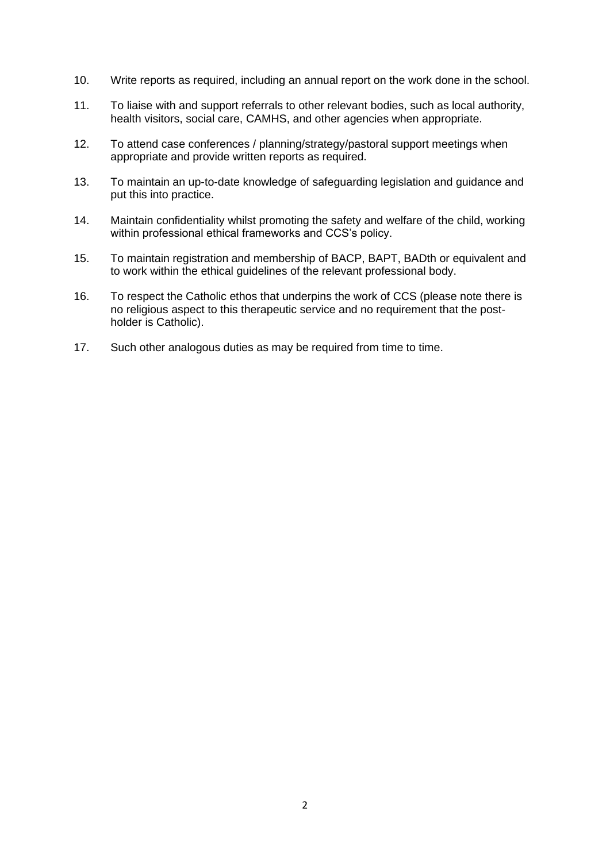- 10. Write reports as required, including an annual report on the work done in the school.
- 11. To liaise with and support referrals to other relevant bodies, such as local authority, health visitors, social care, CAMHS, and other agencies when appropriate.
- 12. To attend case conferences / planning/strategy/pastoral support meetings when appropriate and provide written reports as required.
- 13. To maintain an up-to-date knowledge of safeguarding legislation and guidance and put this into practice.
- 14. Maintain confidentiality whilst promoting the safety and welfare of the child, working within professional ethical frameworks and CCS's policy.
- 15. To maintain registration and membership of BACP, BAPT, BADth or equivalent and to work within the ethical guidelines of the relevant professional body.
- 16. To respect the Catholic ethos that underpins the work of CCS (please note there is no religious aspect to this therapeutic service and no requirement that the postholder is Catholic).
- 17. Such other analogous duties as may be required from time to time.